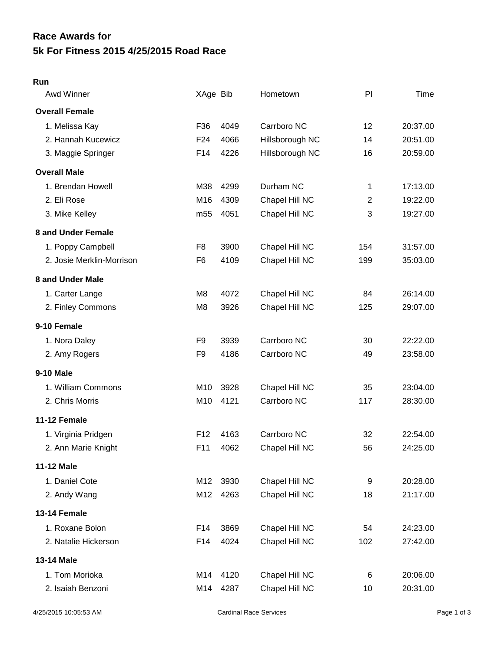## **5k For Fitness 2015 4/25/2015 Road Race Race Awards for**

## **Run**

| <b>Awd Winner</b>         | XAge Bib        |      | Hometown        | PI           | Time     |
|---------------------------|-----------------|------|-----------------|--------------|----------|
| <b>Overall Female</b>     |                 |      |                 |              |          |
| 1. Melissa Kay            | F36             | 4049 | Carrboro NC     | 12           | 20:37.00 |
| 2. Hannah Kucewicz        | F <sub>24</sub> | 4066 | Hillsborough NC | 14           | 20:51.00 |
| 3. Maggie Springer        | F14             | 4226 | Hillsborough NC | 16           | 20:59.00 |
| <b>Overall Male</b>       |                 |      |                 |              |          |
| 1. Brendan Howell         | M38             | 4299 | Durham NC       | $\mathbf{1}$ | 17:13.00 |
| 2. Eli Rose               | M <sub>16</sub> | 4309 | Chapel Hill NC  | 2            | 19:22.00 |
| 3. Mike Kelley            | m <sub>55</sub> | 4051 | Chapel Hill NC  | 3            | 19:27.00 |
| 8 and Under Female        |                 |      |                 |              |          |
| 1. Poppy Campbell         | F <sub>8</sub>  | 3900 | Chapel Hill NC  | 154          | 31:57.00 |
| 2. Josie Merklin-Morrison | F <sub>6</sub>  | 4109 | Chapel Hill NC  | 199          | 35:03.00 |
| 8 and Under Male          |                 |      |                 |              |          |
| 1. Carter Lange           | M <sub>8</sub>  | 4072 | Chapel Hill NC  | 84           | 26:14.00 |
| 2. Finley Commons         | M <sub>8</sub>  | 3926 | Chapel Hill NC  | 125          | 29:07.00 |
| 9-10 Female               |                 |      |                 |              |          |
| 1. Nora Daley             | F <sub>9</sub>  | 3939 | Carrboro NC     | 30           | 22:22.00 |
| 2. Amy Rogers             | F <sub>9</sub>  | 4186 | Carrboro NC     | 49           | 23:58.00 |
| 9-10 Male                 |                 |      |                 |              |          |
| 1. William Commons        | M10             | 3928 | Chapel Hill NC  | 35           | 23:04.00 |
| 2. Chris Morris           | M10             | 4121 | Carrboro NC     | 117          | 28:30.00 |
| 11-12 Female              |                 |      |                 |              |          |
| 1. Virginia Pridgen       | F <sub>12</sub> | 4163 | Carrboro NC     | 32           | 22:54.00 |
| 2. Ann Marie Knight       | F11             | 4062 | Chapel Hill NC  | 56           | 24:25.00 |
| <b>11-12 Male</b>         |                 |      |                 |              |          |
| 1. Daniel Cote            | M12             | 3930 | Chapel Hill NC  | 9            | 20:28.00 |
| 2. Andy Wang              | M12             | 4263 | Chapel Hill NC  | 18           | 21:17.00 |
| 13-14 Female              |                 |      |                 |              |          |
| 1. Roxane Bolon           | F14             | 3869 | Chapel Hill NC  | 54           | 24:23.00 |
| 2. Natalie Hickerson      | F14             | 4024 | Chapel Hill NC  | 102          | 27:42.00 |
| 13-14 Male                |                 |      |                 |              |          |
| 1. Tom Morioka            | M14             | 4120 | Chapel Hill NC  | 6            | 20:06.00 |
| 2. Isaiah Benzoni         | M14             | 4287 | Chapel Hill NC  | 10           | 20:31.00 |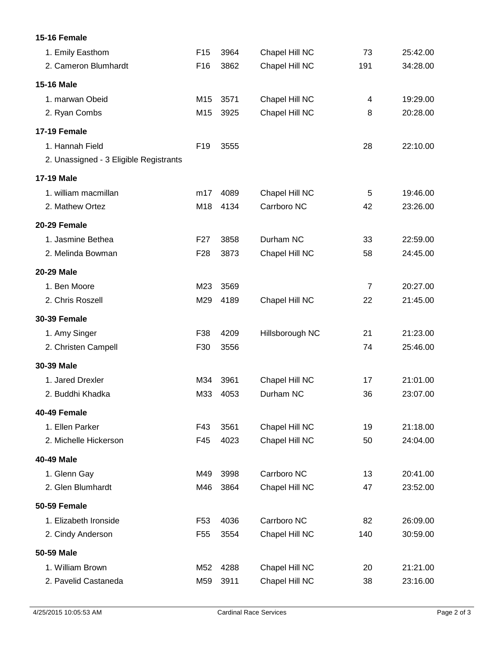## **15-16 Female** 1. Emily Easthom F15 3964 Chapel Hill NC 73 25:42.00 2. Cameron Blumhardt F16 3862 Chapel Hill NC 191 34:28.00 **15-16 Male** 1. marwan Obeid M15 3571 Chapel Hill NC 4 19:29.00 2. Ryan Combs M15 3925 Chapel Hill NC 8 20:28.00 **17-19 Female** 1. Hannah Field F19 3555 28 22:10.00 2. Unassigned - 3 Eligible Registrants **17-19 Male** 1. william macmillan m17 4089 Chapel Hill NC 5 19:46.00 2. Mathew Ortez M18 4134 Carrboro NC 42 23:26.00 **20-29 Female** 1. Jasmine Bethea F27 3858 Durham NC 33 22:59.00 2. Melinda Bowman F28 3873 Chapel Hill NC 58 24:45.00 **20-29 Male** 1. Ben Moore M23 3569 7 20:27.00 2. Chris Roszell M29 4189 Chapel Hill NC 22 21:45.00 **30-39 Female** 1. Amy Singer F38 4209 Hillsborough NC 21 21:23.00 2. Christen Campell F30 3556 74 25:46.00 **30-39 Male** 1. Jared Drexler M34 3961 Chapel Hill NC 17 21:01.00 2. Buddhi Khadka M33 4053 Durham NC 36 23:07.00 **40-49 Female** 1. Ellen Parker F43 3561 Chapel Hill NC 19 21:18.00 2. Michelle Hickerson F45 4023 Chapel Hill NC 50 24:04.00 **40-49 Male** 1. Glenn Gay **M49 3998** Carrboro NC 13 20:41.00 2. Glen Blumhardt M46 3864 Chapel Hill NC 47 23:52.00 **50-59 Female** 1. Elizabeth Ironside F53 4036 Carrboro NC 82 26:09.00 2. Cindy Anderson F55 3554 Chapel Hill NC 140 30:59.00 **50-59 Male** 1. William Brown M52 4288 Chapel Hill NC 20 21:21.00 2. Pavelid Castaneda M59 3911 Chapel Hill NC 38 23:16.00